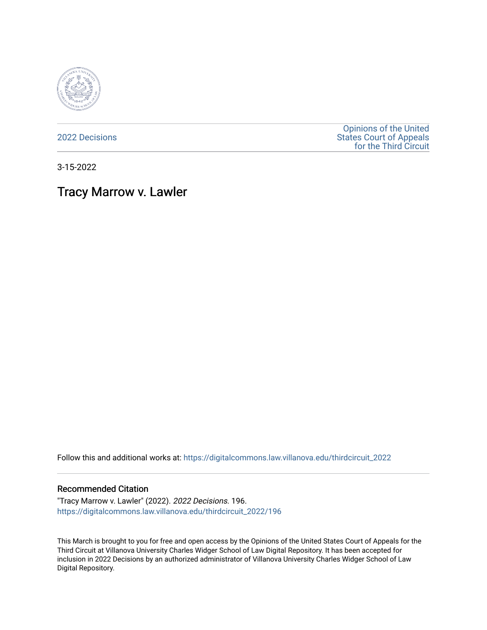

[2022 Decisions](https://digitalcommons.law.villanova.edu/thirdcircuit_2022)

[Opinions of the United](https://digitalcommons.law.villanova.edu/thirdcircuit)  [States Court of Appeals](https://digitalcommons.law.villanova.edu/thirdcircuit)  [for the Third Circuit](https://digitalcommons.law.villanova.edu/thirdcircuit) 

3-15-2022

## Tracy Marrow v. Lawler

Follow this and additional works at: [https://digitalcommons.law.villanova.edu/thirdcircuit\\_2022](https://digitalcommons.law.villanova.edu/thirdcircuit_2022?utm_source=digitalcommons.law.villanova.edu%2Fthirdcircuit_2022%2F196&utm_medium=PDF&utm_campaign=PDFCoverPages) 

## Recommended Citation

"Tracy Marrow v. Lawler" (2022). 2022 Decisions. 196. [https://digitalcommons.law.villanova.edu/thirdcircuit\\_2022/196](https://digitalcommons.law.villanova.edu/thirdcircuit_2022/196?utm_source=digitalcommons.law.villanova.edu%2Fthirdcircuit_2022%2F196&utm_medium=PDF&utm_campaign=PDFCoverPages)

This March is brought to you for free and open access by the Opinions of the United States Court of Appeals for the Third Circuit at Villanova University Charles Widger School of Law Digital Repository. It has been accepted for inclusion in 2022 Decisions by an authorized administrator of Villanova University Charles Widger School of Law Digital Repository.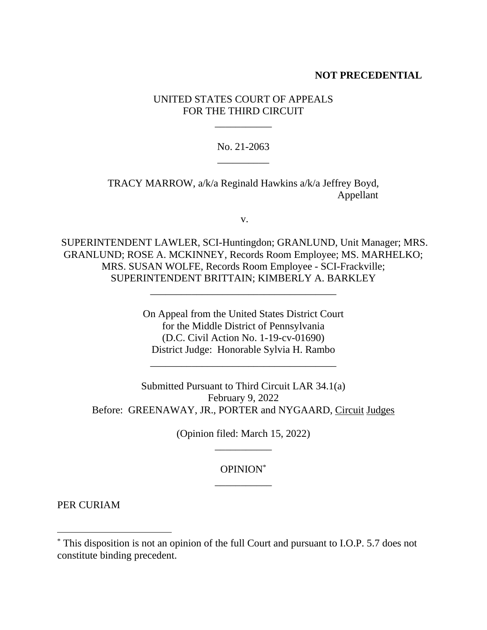## **NOT PRECEDENTIAL**

## UNITED STATES COURT OF APPEALS FOR THE THIRD CIRCUIT

\_\_\_\_\_\_\_\_\_\_\_

No. 21-2063 \_\_\_\_\_\_\_\_\_\_

TRACY MARROW, a/k/a Reginald Hawkins a/k/a Jeffrey Boyd, Appellant

v.

SUPERINTENDENT LAWLER, SCI-Huntingdon; GRANLUND, Unit Manager; MRS. GRANLUND; ROSE A. MCKINNEY, Records Room Employee; MS. MARHELKO; MRS. SUSAN WOLFE, Records Room Employee - SCI-Frackville; SUPERINTENDENT BRITTAIN; KIMBERLY A. BARKLEY

\_\_\_\_\_\_\_\_\_\_\_\_\_\_\_\_\_\_\_\_\_\_\_\_\_\_\_\_\_\_\_\_\_\_\_\_

On Appeal from the United States District Court for the Middle District of Pennsylvania (D.C. Civil Action No. 1-19-cv-01690) District Judge: Honorable Sylvia H. Rambo

\_\_\_\_\_\_\_\_\_\_\_\_\_\_\_\_\_\_\_\_\_\_\_\_\_\_\_\_\_\_\_\_\_\_\_\_

Submitted Pursuant to Third Circuit LAR 34.1(a) February 9, 2022 Before: GREENAWAY, JR., PORTER and NYGAARD, Circuit Judges

> (Opinion filed: March 15, 2022) \_\_\_\_\_\_\_\_\_\_\_

> > OPINION\* \_\_\_\_\_\_\_\_\_\_\_

PER CURIAM

<sup>\*</sup> This disposition is not an opinion of the full Court and pursuant to I.O.P. 5.7 does not constitute binding precedent.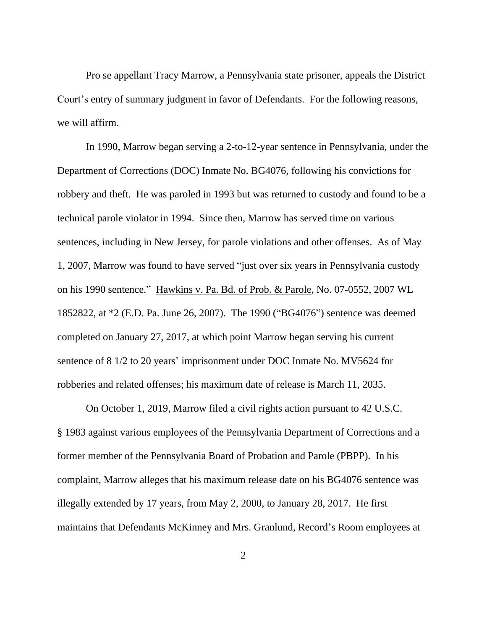Pro se appellant Tracy Marrow, a Pennsylvania state prisoner, appeals the District Court's entry of summary judgment in favor of Defendants. For the following reasons, we will affirm.

In 1990, Marrow began serving a 2-to-12-year sentence in Pennsylvania, under the Department of Corrections (DOC) Inmate No. BG4076, following his convictions for robbery and theft. He was paroled in 1993 but was returned to custody and found to be a technical parole violator in 1994. Since then, Marrow has served time on various sentences, including in New Jersey, for parole violations and other offenses. As of May 1, 2007, Marrow was found to have served "just over six years in Pennsylvania custody on his 1990 sentence." Hawkins v. Pa. Bd. of Prob. & Parole, No. 07-0552, 2007 WL 1852822, at \*2 (E.D. Pa. June 26, 2007). The 1990 ("BG4076") sentence was deemed completed on January 27, 2017, at which point Marrow began serving his current sentence of 8 1/2 to 20 years' imprisonment under DOC Inmate No. MV5624 for robberies and related offenses; his maximum date of release is March 11, 2035.

On October 1, 2019, Marrow filed a civil rights action pursuant to 42 U.S.C. § 1983 against various employees of the Pennsylvania Department of Corrections and a former member of the Pennsylvania Board of Probation and Parole (PBPP). In his complaint, Marrow alleges that his maximum release date on his BG4076 sentence was illegally extended by 17 years, from May 2, 2000, to January 28, 2017. He first maintains that Defendants McKinney and Mrs. Granlund, Record's Room employees at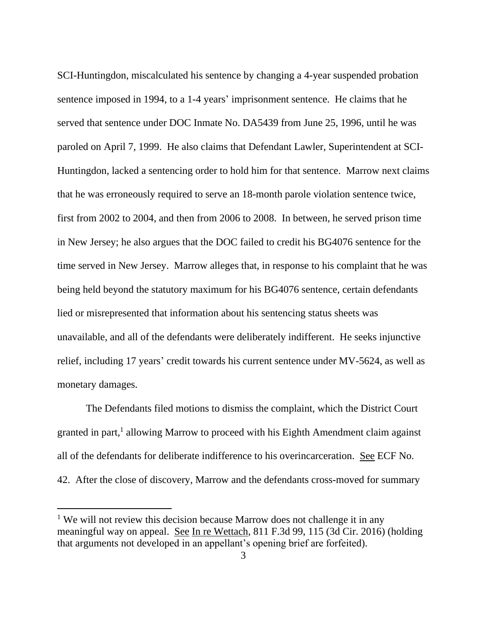SCI-Huntingdon, miscalculated his sentence by changing a 4-year suspended probation sentence imposed in 1994, to a 1-4 years' imprisonment sentence. He claims that he served that sentence under DOC Inmate No. DA5439 from June 25, 1996, until he was paroled on April 7, 1999. He also claims that Defendant Lawler, Superintendent at SCI-Huntingdon, lacked a sentencing order to hold him for that sentence. Marrow next claims that he was erroneously required to serve an 18-month parole violation sentence twice, first from 2002 to 2004, and then from 2006 to 2008. In between, he served prison time in New Jersey; he also argues that the DOC failed to credit his BG4076 sentence for the time served in New Jersey. Marrow alleges that, in response to his complaint that he was being held beyond the statutory maximum for his BG4076 sentence, certain defendants lied or misrepresented that information about his sentencing status sheets was unavailable, and all of the defendants were deliberately indifferent. He seeks injunctive relief, including 17 years' credit towards his current sentence under MV-5624, as well as monetary damages.

The Defendants filed motions to dismiss the complaint, which the District Court granted in part,<sup>1</sup> allowing Marrow to proceed with his Eighth Amendment claim against all of the defendants for deliberate indifference to his overincarceration. See ECF No. 42. After the close of discovery, Marrow and the defendants cross-moved for summary

<sup>&</sup>lt;sup>1</sup> We will not review this decision because Marrow does not challenge it in any meaningful way on appeal. See In re Wettach, 811 F.3d 99, 115 (3d Cir. 2016) (holding that arguments not developed in an appellant's opening brief are forfeited).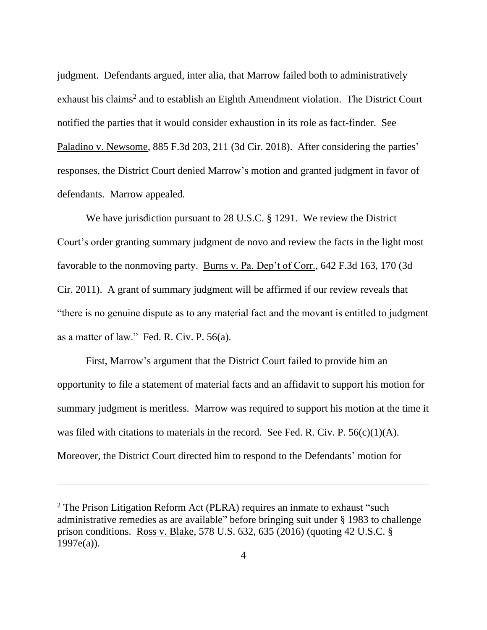judgment. Defendants argued, inter alia, that Marrow failed both to administratively exhaust his claims<sup>2</sup> and to establish an Eighth Amendment violation. The District Court notified the parties that it would consider exhaustion in its role as fact-finder. See Paladino v. Newsome, 885 F.3d 203, 211 (3d Cir. 2018). After considering the parties' responses, the District Court denied Marrow's motion and granted judgment in favor of defendants. Marrow appealed.

We have jurisdiction pursuant to 28 U.S.C. § 1291. We review the District Court's order granting summary judgment de novo and review the facts in the light most favorable to the nonmoving party. Burns v. Pa. Dep't of Corr., 642 F.3d 163, 170 (3d Cir. 2011). A grant of summary judgment will be affirmed if our review reveals that "there is no genuine dispute as to any material fact and the movant is entitled to judgment as a matter of law." Fed. R. Civ. P. 56(a).

First, Marrow's argument that the District Court failed to provide him an opportunity to file a statement of material facts and an affidavit to support his motion for summary judgment is meritless. Marrow was required to support his motion at the time it was filed with citations to materials in the record. See Fed. R. Civ. P.  $56(c)(1)(A)$ . Moreover, the District Court directed him to respond to the Defendants' motion for

<sup>&</sup>lt;sup>2</sup> The Prison Litigation Reform Act (PLRA) requires an inmate to exhaust "such administrative remedies as are available" before bringing suit under § 1983 to challenge prison conditions. Ross v. Blake, 578 U.S. 632, 635 (2016) (quoting 42 U.S.C. § 1997e(a)).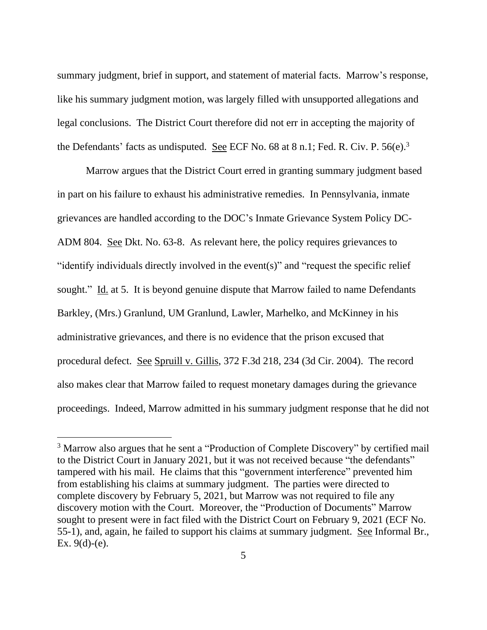summary judgment, brief in support, and statement of material facts. Marrow's response, like his summary judgment motion, was largely filled with unsupported allegations and legal conclusions. The District Court therefore did not err in accepting the majority of the Defendants' facts as undisputed. See ECF No. 68 at 8 n.1; Fed. R. Civ. P. 56(e).<sup>3</sup>

Marrow argues that the District Court erred in granting summary judgment based in part on his failure to exhaust his administrative remedies. In Pennsylvania, inmate grievances are handled according to the DOC's Inmate Grievance System Policy DC-ADM 804. See Dkt. No. 63-8. As relevant here, the policy requires grievances to "identify individuals directly involved in the event(s)" and "request the specific relief sought." Id. at 5. It is beyond genuine dispute that Marrow failed to name Defendants Barkley, (Mrs.) Granlund, UM Granlund, Lawler, Marhelko, and McKinney in his administrative grievances, and there is no evidence that the prison excused that procedural defect. See Spruill v. Gillis, 372 F.3d 218, 234 (3d Cir. 2004). The record also makes clear that Marrow failed to request monetary damages during the grievance proceedings. Indeed, Marrow admitted in his summary judgment response that he did not

<sup>&</sup>lt;sup>3</sup> Marrow also argues that he sent a "Production of Complete Discovery" by certified mail to the District Court in January 2021, but it was not received because "the defendants" tampered with his mail. He claims that this "government interference" prevented him from establishing his claims at summary judgment. The parties were directed to complete discovery by February 5, 2021, but Marrow was not required to file any discovery motion with the Court. Moreover, the "Production of Documents" Marrow sought to present were in fact filed with the District Court on February 9, 2021 (ECF No. 55-1), and, again, he failed to support his claims at summary judgment. See Informal Br., Ex.  $9(d)-(e)$ .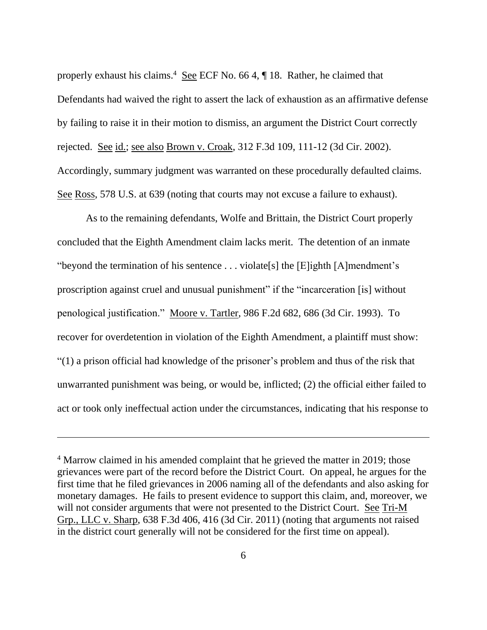properly exhaust his claims.<sup>4</sup> See ECF No. 66 4, ¶ 18. Rather, he claimed that Defendants had waived the right to assert the lack of exhaustion as an affirmative defense by failing to raise it in their motion to dismiss, an argument the District Court correctly rejected. See id.; see also Brown v. Croak, 312 F.3d 109, 111-12 (3d Cir. 2002). Accordingly, summary judgment was warranted on these procedurally defaulted claims. See Ross, 578 U.S. at 639 (noting that courts may not excuse a failure to exhaust).

As to the remaining defendants, Wolfe and Brittain, the District Court properly concluded that the Eighth Amendment claim lacks merit. The detention of an inmate "beyond the termination of his sentence . . . violate[s] the [E]ighth [A]mendment's proscription against cruel and unusual punishment" if the "incarceration [is] without penological justification." Moore v. Tartler, 986 F.2d 682, 686 (3d Cir. 1993). To recover for overdetention in violation of the Eighth Amendment, a plaintiff must show: "(1) a prison official had knowledge of the prisoner's problem and thus of the risk that unwarranted punishment was being, or would be, inflicted; (2) the official either failed to act or took only ineffectual action under the circumstances, indicating that his response to

<sup>&</sup>lt;sup>4</sup> Marrow claimed in his amended complaint that he grieved the matter in 2019; those grievances were part of the record before the District Court. On appeal, he argues for the first time that he filed grievances in 2006 naming all of the defendants and also asking for monetary damages. He fails to present evidence to support this claim, and, moreover, we will not consider arguments that were not presented to the District Court. See Tri-M Grp., LLC v. Sharp, 638 F.3d 406, 416 (3d Cir. 2011) (noting that arguments not raised in the district court generally will not be considered for the first time on appeal).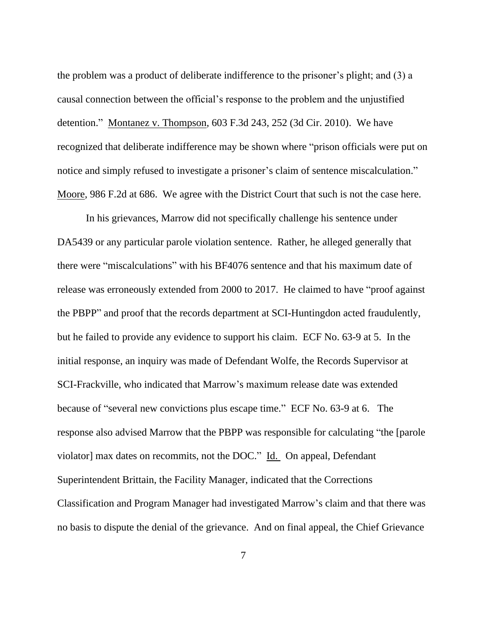the problem was a product of deliberate indifference to the prisoner's plight; and (3) a causal connection between the official's response to the problem and the unjustified detention." Montanez v. Thompson, 603 F.3d 243, 252 (3d Cir. 2010). We have recognized that deliberate indifference may be shown where "prison officials were put on notice and simply refused to investigate a prisoner's claim of sentence miscalculation." Moore, 986 F.2d at 686. We agree with the District Court that such is not the case here.

In his grievances, Marrow did not specifically challenge his sentence under DA5439 or any particular parole violation sentence. Rather, he alleged generally that there were "miscalculations" with his BF4076 sentence and that his maximum date of release was erroneously extended from 2000 to 2017. He claimed to have "proof against the PBPP" and proof that the records department at SCI-Huntingdon acted fraudulently, but he failed to provide any evidence to support his claim. ECF No. 63-9 at 5. In the initial response, an inquiry was made of Defendant Wolfe, the Records Supervisor at SCI-Frackville, who indicated that Marrow's maximum release date was extended because of "several new convictions plus escape time." ECF No. 63-9 at 6. The response also advised Marrow that the PBPP was responsible for calculating "the [parole violator] max dates on recommits, not the DOC." Id. On appeal, Defendant Superintendent Brittain, the Facility Manager, indicated that the Corrections Classification and Program Manager had investigated Marrow's claim and that there was no basis to dispute the denial of the grievance. And on final appeal, the Chief Grievance